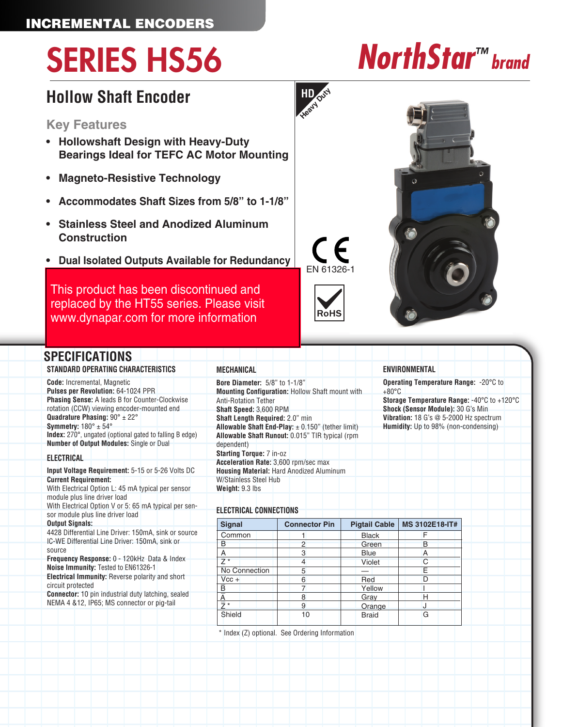## INCREMENTAL ENCODERS

# SERIES HS56 *NorthStar™ brand*

# **Hollow Shaft Encoder**

### **Key Features**

- **Hollowshaft Design with Heavy-Duty Bearings Ideal for TEFC AC Motor Mounting**
- **Magneto-Resistive Technology**
- **• Accommodates Shaft Sizes from 5/8" to 1-1/8"**
- **Stainless Steel and Anodized Aluminum Construction**
- **• Dual Isolated Outputs Available for Redundancy**

This product has been discontinued and [replaced by the HT55 series. Please visit](https://ecatalog.dynapar.com/ecatalog/incremental-encoders/en/HT55)  www.dynapar.com for more information

## **SPECIFICATIONS**

**STANDARD OPERATING CHARACTERISTICS Code:** Incremental, Magnetic **Pulses per Revolution:** 64-1024 PPR **Phasing Sense:** A leads B for Counter-Clockwise rotation (CCW) viewing encoder-mounted end **Quadrature Phasing:** 90° ± 22° **Symmetry:** 180° ± 54° **Index:** 270°, ungated (optional gated to falling B edge) **Number of Output Modules:** Single or Dual

### **ELECTRICAL**

**Input Voltage Requirement:** 5-15 or 5-26 Volts DC **Current Requirement:** With Electrical Option L: 45 mA typical per sensor module plus line driver load With Electrical Option V or 5: 65 mA typical per sensor module plus line driver load **Output Signals:** 4428 Differential Line Driver: 150mA, sink or source IC-WE Differential Line Driver: 150mA, sink or source **Frequency Response:** 0 - 120kHz Data & Index **Noise Immunity:** Tested to EN61326-1 **Electrical Immunity:** Reverse polarity and short circuit protected **Connector:** 10 pin industrial duty latching, sealed

NEMA 4 &12, IP65; MS connector or pig-tail

**Bore Diameter:** 5/8" to 1-1/8" **Mounting Configuration:** Hollow Shaft mount with Anti-Rotation Tether **Shaft Speed:** 3,600 RPM **Shaft Length Required:** 2.0" min **Allowable Shaft End-Play:** ± 0.150" (tether limit) **Allowable Shaft Runout:** 0.015" TIR typical (rpm dependent) **Starting Torque:** 7 in-oz **Acceleration Rate:** 3,600 rpm/sec max **Housing Material:** Hard Anodized Aluminum W/Stainless Steel Hub **Weight:** 9.3 lbs

### **ELECTRICAL CONNECTIONS**

**MECHANICAL**

| <b>Signal</b> | <b>Connector Pin</b> | <b>Pigtail Cable</b> | MS 3102E18-IT# |
|---------------|----------------------|----------------------|----------------|
| Common        |                      | <b>Black</b>         |                |
| B             |                      | Green                | B              |
| А             | З                    | <b>Blue</b>          | А              |
| $7*$          |                      | <b>Violet</b>        | C              |
| No Connection | 5                    |                      | F              |
| $Vcc +$       | հ                    | Red                  |                |
| B             |                      | Yellow               |                |
|               | 8                    | Gray                 | н              |
| ≒ ∗           |                      | Orange               |                |
| Shield        | 10                   | <b>Braid</b>         | G              |

\* Index (Z) optional. See Ordering Information

EN 61326-1

**HD Heavy Duty**





**Operating Temperature Range:** -20°C to

**Storage Temperature Range:** -40°C to +120°C **Shock (Sensor Module):** 30 G's Min **Vibration:** 18 G's @ 5-2000 Hz spectrum **Humidity:** Up to 98% (non-condensing)

**ENVIRONMENTAL**

 $+80^{\circ}$ C